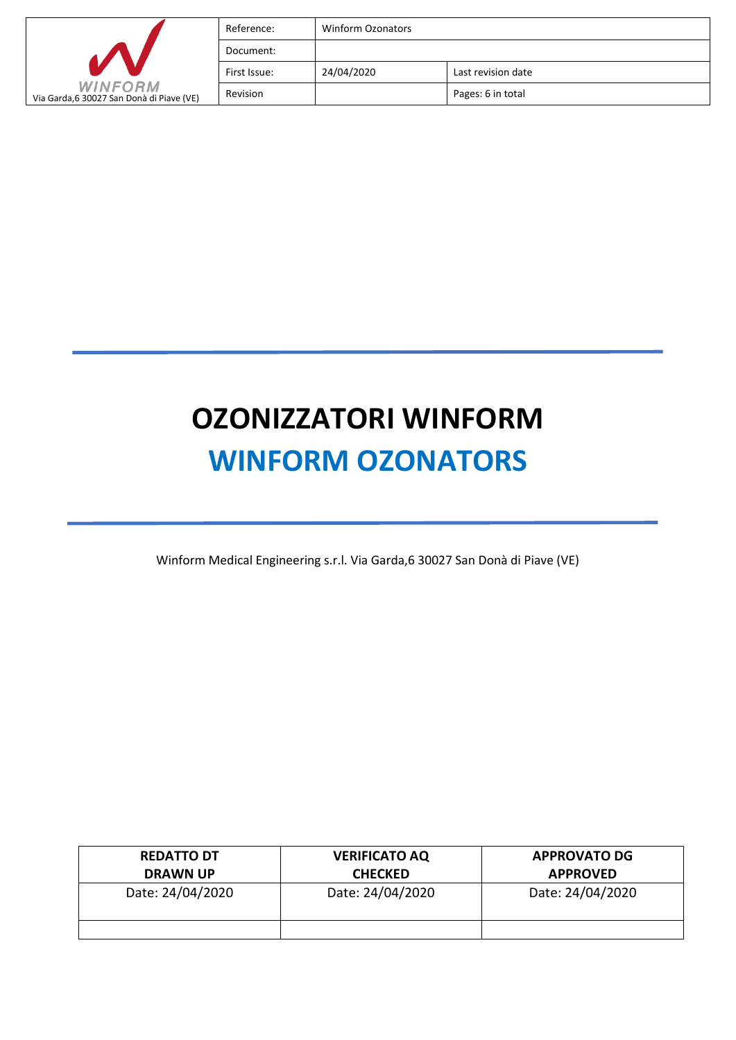|                                                            | Reference:   | Winform Ozonators |                    |
|------------------------------------------------------------|--------------|-------------------|--------------------|
|                                                            | Document:    |                   |                    |
|                                                            | First Issue: | 24/04/2020        | Last revision date |
| <b>WINFORM</b><br>Via Garda,6 30027 San Donà di Piave (VE) | Revision     |                   | Pages: 6 in total  |

# **OZONIZZATORI WINFORM WINFORM OZONATORS**

Winform Medical Engineering s.r.l. Via Garda,6 30027 San Donà di Piave (VE)

| <b>REDATTO DT</b><br><b>DRAWN UP</b> | <b>VERIFICATO AQ</b><br><b>CHECKED</b> | <b>APPROVATO DG</b><br><b>APPROVED</b> |
|--------------------------------------|----------------------------------------|----------------------------------------|
| Date: 24/04/2020                     | Date: 24/04/2020                       | Date: 24/04/2020                       |
|                                      |                                        |                                        |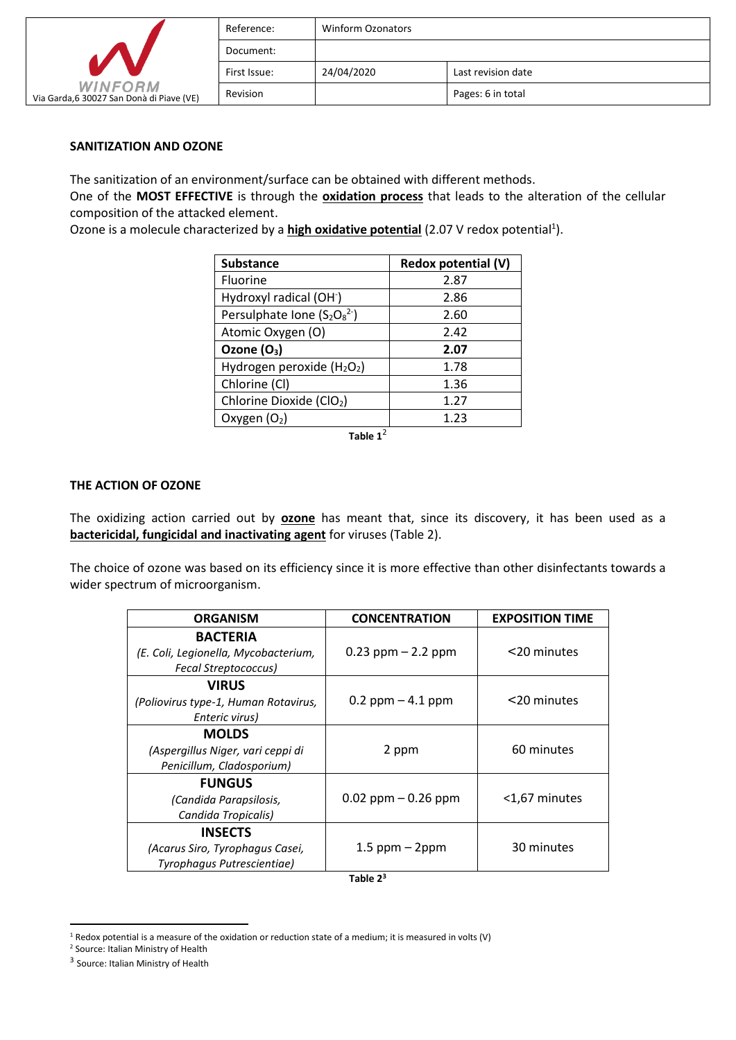|                                                            | Reference:   | <b>Winform Ozonators</b> |                    |
|------------------------------------------------------------|--------------|--------------------------|--------------------|
|                                                            | Document:    |                          |                    |
|                                                            | First Issue: | 24/04/2020               | Last revision date |
| <b>WINFORM</b><br>Via Garda,6 30027 San Donà di Piave (VE) | Revision     |                          | Pages: 6 in total  |

# **SANITIZATION AND OZONE**

The sanitization of an environment/surface can be obtained with different methods.

One of the **MOST EFFECTIVE** is through the **oxidation process** that leads to the alteration of the cellular composition of the attacked element.

Ozone is a molecule characterized by a **high oxidative potential** (2.07 V redox potential<sup>1</sup>).

| <b>Substance</b>                     | Redox potential (V) |
|--------------------------------------|---------------------|
| Fluorine                             | 2.87                |
| Hydroxyl radical (OH <sup>-</sup> )  | 2.86                |
| Persulphate Ione $(S_2O_8^2)$        | 2.60                |
| Atomic Oxygen (O)                    | 2.42                |
| Ozone $(O_3)$                        | 2.07                |
| Hydrogen peroxide $(H2O2)$           | 1.78                |
| Chlorine (Cl)                        | 1.36                |
| Chlorine Dioxide (ClO <sub>2</sub> ) | 1.27                |
| Oxygen $(O_2)$                       | 1.23                |

Table  $1^2$ 

### **THE ACTION OF OZONE**

The oxidizing action carried out by **ozone** has meant that, since its discovery, it has been used as a **bactericidal, fungicidal and inactivating agent** for viruses (Table 2).

The choice of ozone was based on its efficiency since it is more effective than other disinfectants towards a wider spectrum of microorganism.

| <b>ORGANISM</b>                                                                        | <b>CONCENTRATION</b>   | <b>EXPOSITION TIME</b> |
|----------------------------------------------------------------------------------------|------------------------|------------------------|
| <b>BACTERIA</b><br>(E. Coli, Legionella, Mycobacterium,<br><b>Fecal Streptococcus)</b> | $0.23$ ppm $- 2.2$ ppm | <20 minutes            |
| <b>VIRUS</b><br>(Poliovirus type-1, Human Rotavirus,<br>Enteric virus)                 | $0.2$ ppm $-4.1$ ppm   | <20 minutes            |
| <b>MOLDS</b><br>(Aspergillus Niger, vari ceppi di<br>Penicillum, Cladosporium)         | 2 ppm                  | 60 minutes             |
| <b>FUNGUS</b><br>(Candida Parapsilosis,<br>Candida Tropicalis)                         | $0.02$ ppm $-0.26$ ppm | <1,67 minutes          |
| <b>INSECTS</b><br>(Acarus Siro, Tyrophagus Casei,<br>Tyrophagus Putrescientiae)        | $1.5$ ppm $-$ 2ppm     | 30 minutes             |

**Table 2<sup>3</sup>**

<sup>1</sup> Redox potential is a measure of the oxidation or reduction state of a medium; it is measured in volts (V)

<sup>2</sup> Source: Italian Ministry of Health

<sup>&</sup>lt;sup>3</sup> Source: Italian Ministry of Health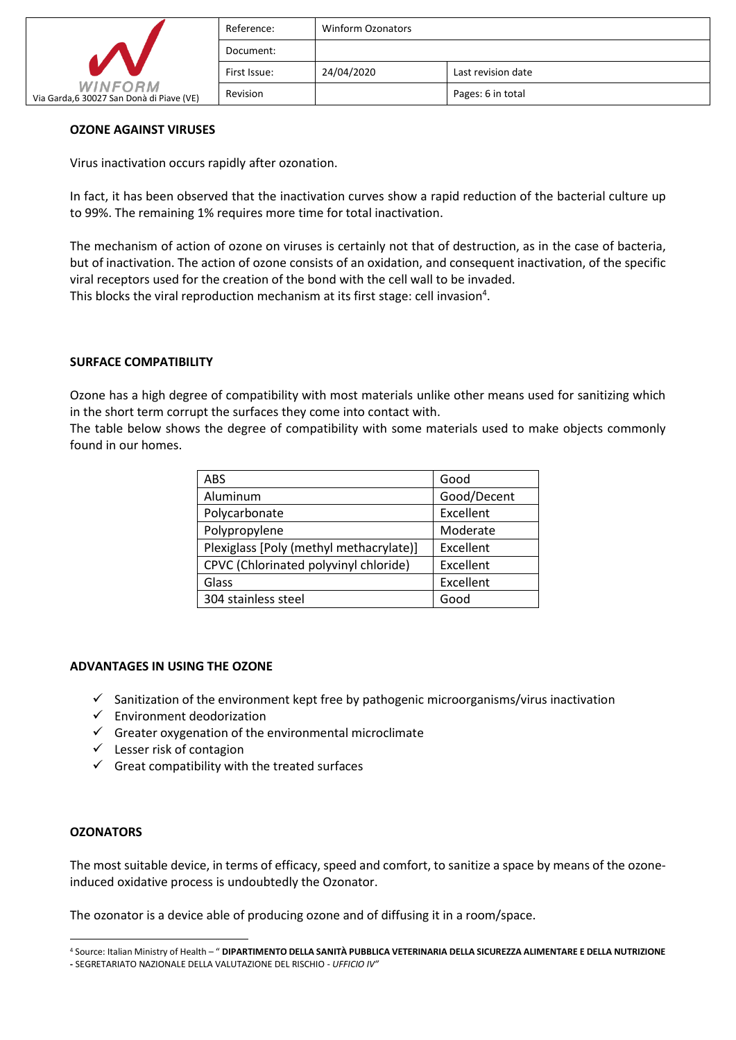| <b>WINFORM</b><br>Via Garda,6 30027 San Donà di Piave (VE) | Reference:   | Winform Ozonators |                    |
|------------------------------------------------------------|--------------|-------------------|--------------------|
|                                                            | Document:    |                   |                    |
|                                                            | First Issue: | 24/04/2020        | Last revision date |
|                                                            | Revision     |                   | Pages: 6 in total  |

### **OZONE AGAINST VIRUSES**

Virus inactivation occurs rapidly after ozonation.

In fact, it has been observed that the inactivation curves show a rapid reduction of the bacterial culture up to 99%. The remaining 1% requires more time for total inactivation.

The mechanism of action of ozone on viruses is certainly not that of destruction, as in the case of bacteria, but of inactivation. The action of ozone consists of an oxidation, and consequent inactivation, of the specific viral receptors used for the creation of the bond with the cell wall to be invaded. This blocks the viral reproduction mechanism at its first stage: cell invasion<sup>4</sup>.

#### **SURFACE COMPATIBILITY**

Ozone has a high degree of compatibility with most materials unlike other means used for sanitizing which in the short term corrupt the surfaces they come into contact with.

The table below shows the degree of compatibility with some materials used to make objects commonly found in our homes.

| <b>ABS</b>                              | Good        |
|-----------------------------------------|-------------|
| Aluminum                                | Good/Decent |
| Polycarbonate                           | Excellent   |
| Polypropylene                           | Moderate    |
| Plexiglass [Poly (methyl methacrylate)] | Excellent   |
| CPVC (Chlorinated polyvinyl chloride)   | Excellent   |
| Glass                                   | Excellent   |
| 304 stainless steel                     | Good        |

#### **ADVANTAGES IN USING THE OZONE**

- $\checkmark$  Sanitization of the environment kept free by pathogenic microorganisms/virus inactivation
- $\checkmark$  Environment deodorization
- $\checkmark$  Greater oxygenation of the environmental microclimate
- $\checkmark$  Lesser risk of contagion
- $\checkmark$  Great compatibility with the treated surfaces

#### **OZONATORS**

The most suitable device, in terms of efficacy, speed and comfort, to sanitize a space by means of the ozoneinduced oxidative process is undoubtedly the Ozonator.

The ozonator is a device able of producing ozone and of diffusing it in a room/space.

<sup>4</sup> Source: Italian Ministry of Health – " **DIPARTIMENTO DELLA SANITÀ PUBBLICA VETERINARIA DELLA SICUREZZA ALIMENTARE E DELLA NUTRIZIONE** 

**<sup>-</sup>** SEGRETARIATO NAZIONALE DELLA VALUTAZIONE DEL RISCHIO - *UFFICIO IV"*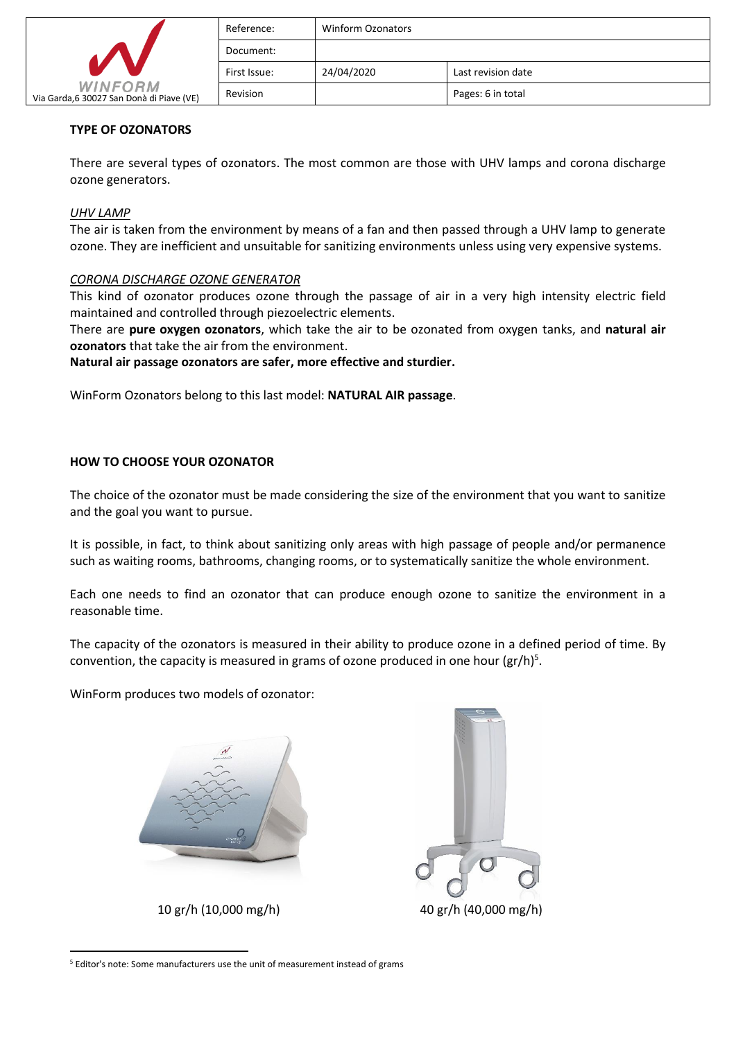|                                                            | Reference:   | <b>Winform Ozonators</b> |                    |
|------------------------------------------------------------|--------------|--------------------------|--------------------|
|                                                            | Document:    |                          |                    |
|                                                            | First Issue: | 24/04/2020               | Last revision date |
| <b>WINFORM</b><br>Via Garda,6 30027 San Donà di Piave (VE) | Revision     |                          | Pages: 6 in total  |

# **TYPE OF OZONATORS**

There are several types of ozonators. The most common are those with UHV lamps and corona discharge ozone generators.

## *UHV LAMP*

The air is taken from the environment by means of a fan and then passed through a UHV lamp to generate ozone. They are inefficient and unsuitable for sanitizing environments unless using very expensive systems.

# *CORONA DISCHARGE OZONE GENERATOR*

This kind of ozonator produces ozone through the passage of air in a very high intensity electric field maintained and controlled through piezoelectric elements.

There are **pure oxygen ozonators**, which take the air to be ozonated from oxygen tanks, and **natural air ozonators** that take the air from the environment.

**Natural air passage ozonators are safer, more effective and sturdier.**

WinForm Ozonators belong to this last model: **NATURAL AIR passage**.

# **HOW TO CHOOSE YOUR OZONATOR**

The choice of the ozonator must be made considering the size of the environment that you want to sanitize and the goal you want to pursue.

It is possible, in fact, to think about sanitizing only areas with high passage of people and/or permanence such as waiting rooms, bathrooms, changing rooms, or to systematically sanitize the whole environment.

Each one needs to find an ozonator that can produce enough ozone to sanitize the environment in a reasonable time.

The capacity of the ozonators is measured in their ability to produce ozone in a defined period of time. By convention, the capacity is measured in grams of ozone produced in one hour  $(gr/h)^5$ .

WinForm produces two models of ozonator:





<sup>5</sup> Editor's note: Some manufacturers use the unit of measurement instead of grams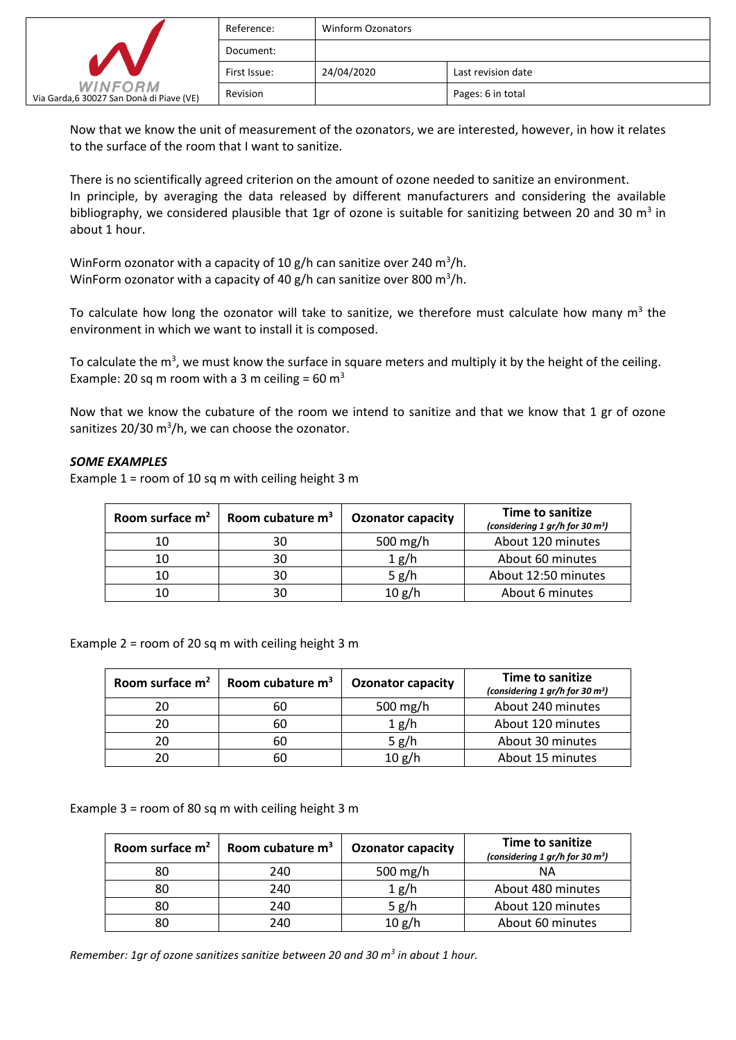|                                                            | Reference:   | <b>Winform Ozonators</b> |                    |
|------------------------------------------------------------|--------------|--------------------------|--------------------|
|                                                            | Document:    |                          |                    |
|                                                            | First Issue: | 24/04/2020               | Last revision date |
| <b>WINFORM</b><br>Via Garda,6 30027 San Donà di Piave (VE) | Revision     |                          | Pages: 6 in total  |

Now that we know the unit of measurement of the ozonators, we are interested, however, in how it relates to the surface of the room that I want to sanitize.

There is no scientifically agreed criterion on the amount of ozone needed to sanitize an environment. In principle, by averaging the data released by different manufacturers and considering the available bibliography, we considered plausible that 1gr of ozone is suitable for sanitizing between 20 and 30  $m^3$  in about 1 hour.

WinForm ozonator with a capacity of 10 g/h can sanitize over 240 m<sup>3</sup>/h. WinForm ozonator with a capacity of 40 g/h can sanitize over 800 m<sup>3</sup>/h.

To calculate how long the ozonator will take to sanitize, we therefore must calculate how many  $m^3$  the environment in which we want to install it is composed.

To calculate the m<sup>3</sup>, we must know the surface in square meters and multiply it by the height of the ceiling. Example: 20 sq m room with a 3 m ceiling = 60  $m^3$ 

Now that we know the cubature of the room we intend to sanitize and that we know that 1 gr of ozone sanitizes 20/30  $m^3/h$ , we can choose the ozonator.

### *SOME EXAMPLES*

Example  $1 =$  room of 10 sq m with ceiling height 3 m

| Room surface m <sup>2</sup> | Room cubature $m3$ | <b>Ozonator capacity</b> | Time to sanitize<br>(considering 1 gr/h for 30 $m^3$ ) |
|-----------------------------|--------------------|--------------------------|--------------------------------------------------------|
| 10                          | 30                 | 500 mg/h                 | About 120 minutes                                      |
| 10                          | 30                 | 1 g/h                    | About 60 minutes                                       |
| 10                          | 30                 | 5 g/h                    | About 12:50 minutes                                    |
| 10                          |                    | 10 g/h                   | About 6 minutes                                        |

Example 2 = room of 20 sq m with ceiling height 3 m

| Room surface $m2$ | Room cubature $m3$ | <b>Ozonator capacity</b> | Time to sanitize<br>(considering 1 gr/h for 30 m <sup>3</sup> ) |
|-------------------|--------------------|--------------------------|-----------------------------------------------------------------|
| 20                | 60                 | 500 $mg/h$               | About 240 minutes                                               |
| 20                | 60                 | 1 g/h                    | About 120 minutes                                               |
| 20                | 60                 | 5 g/h                    | About 30 minutes                                                |
| 20                | 60                 | 10 g/h                   | About 15 minutes                                                |

Example 3 = room of 80 sq m with ceiling height 3 m

| Room surface $m2$ | Room cubature $m3$ | <b>Ozonator capacity</b> | Time to sanitize<br>(considering 1 gr/h for 30 $m^3$ ) |
|-------------------|--------------------|--------------------------|--------------------------------------------------------|
| 80                | 240                | 500 mg/h                 | NΑ                                                     |
| 80                | 240                | 1 g/h                    | About 480 minutes                                      |
| 80                | 240                | 5 g/h                    | About 120 minutes                                      |
| 80                | 240                | 10 g/h                   | About 60 minutes                                       |

*Remember: 1gr of ozone sanitizes sanitize between 20 and 30 m<sup>3</sup> in about 1 hour.*